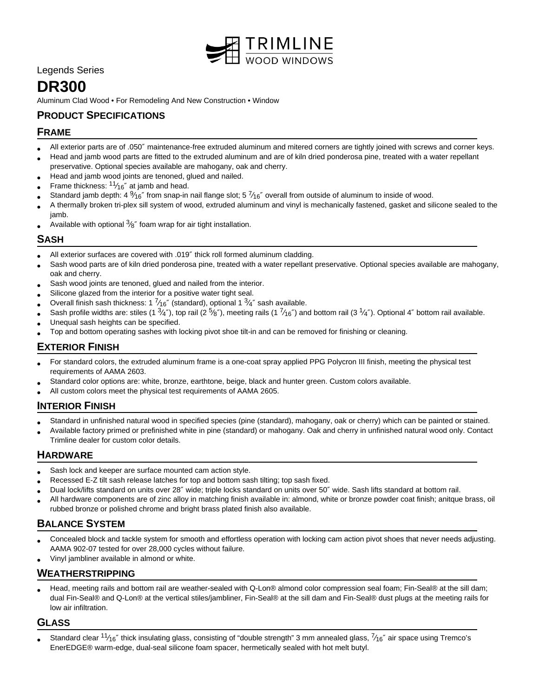

Legends Series

# **DR300**

Aluminum Clad Wood • For Remodeling And New Construction • Window

# **PRODUCT SPECIFICATIONS**

## **FRAME**

- All exterior parts are of .050″ maintenance-free extruded aluminum and mitered corners are tightly joined with screws and corner keys.
- Head and jamb wood parts are fitted to the extruded aluminum and are of kiln dried ponderosa pine, treated with a water repellant preservative. Optional species available are mahogany, oak and cherry.
- Head and jamb wood joints are tenoned, glued and nailed.
- • Frame thickness:  $11/16''$  at jamb and head.
- Standard jamb depth: 4  $\frac{9}{16}$ " from snap-in nail flange slot; 5  $\frac{7}{16}$ " overall from outside of aluminum to inside of wood.
- A thermally broken tri-plex sill system of wood, extruded aluminum and vinyl is mechanically fastened, gasket and silicone sealed to the jamb.
- Available with optional  $\frac{3}{8}$ " foam wrap for air tight installation.

## **SASH**

- All exterior surfaces are covered with .019″ thick roll formed aluminum cladding.
- Sash wood parts are of kiln dried ponderosa pine, treated with a water repellant preservative. Optional species available are mahogany, oak and cherry.
- Sash wood joints are tenoned, glued and nailed from the interior.
- Silicone glazed from the interior for a positive water tight seal.
- Overall finish sash thickness: 1  $\frac{7}{16}$ " (standard), optional 1  $\frac{3}{4}$ " sash available.
- Sash profile widths are: stiles (1  $\frac{3}{4}$ "), top rail (2  $\frac{5}{8}$ "), meeting rails (1  $\frac{7}{16}$ ") and bottom rail (3  $\frac{1}{4}$ "). Optional 4" bottom rail available.
- Unequal sash heights can be specified.
- Top and bottom operating sashes with locking pivot shoe tilt-in and can be removed for finishing or cleaning.

## **EXTERIOR FINISH**

- For standard colors, the extruded aluminum frame is a one-coat spray applied PPG Polycron III finish, meeting the physical test requirements of AAMA 2603.
- Standard color options are: white, bronze, earthtone, beige, black and hunter green. Custom colors available.
- All custom colors meet the physical test requirements of AAMA 2605.

## **INTERIOR FINISH**

- Standard in unfinished natural wood in specified species (pine (standard), mahogany, oak or cherry) which can be painted or stained.
- Available factory primed or prefinished white in pine (standard) or mahogany. Oak and cherry in unfinished natural wood only. Contact Trimline dealer for custom color details.

#### **HARDWARE**

- Sash lock and keeper are surface mounted cam action style.
- Recessed E-Z tilt sash release latches for top and bottom sash tilting; top sash fixed.
- Dual lock/lifts standard on units over 28″ wide; triple locks standard on units over 50″ wide. Sash lifts standard at bottom rail.
- All hardware components are of zinc alloy in matching finish available in: almond, white or bronze powder coat finish; anitque brass, oil rubbed bronze or polished chrome and bright brass plated finish also available.

# **BALANCE SYSTEM**

- Concealed block and tackle system for smooth and effortless operation with locking cam action pivot shoes that never needs adjusting. AAMA 902-07 tested for over 28,000 cycles without failure.
- Vinyl jambliner available in almond or white.

# **WEATHERSTRIPPING**

• Head, meeting rails and bottom rail are weather-sealed with Q-Lon® almond color compression seal foam; Fin-Seal® at the sill dam; dual Fin-Seal® and Q-Lon® at the vertical stiles/jambliner, Fin-Seal® at the sill dam and Fin-Seal® dust plugs at the meeting rails for low air infiltration.

## **GLASS**

• Standard clear  $11/16''$  thick insulating glass, consisting of "double strength" 3 mm annealed glass,  $7/16''$  air space using Tremco's EnerEDGE® warm-edge, dual-seal silicone foam spacer, hermetically sealed with hot melt butyl.